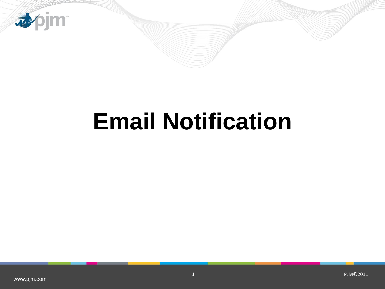

# **Email Notification**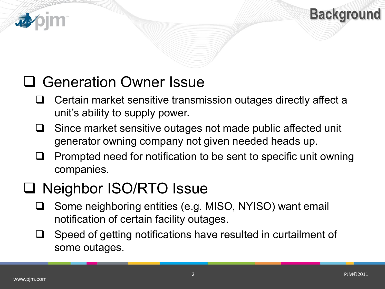



# □ Generation Owner Issue

- $\Box$  Certain market sensitive transmission outages directly affect a unit's ability to supply power.
- $\Box$  Since market sensitive outages not made public affected unit generator owning company not given needed heads up.
- $\Box$  Prompted need for notification to be sent to specific unit owning companies.

## □ Neighbor ISO/RTO Issue

- □ Some neighboring entities (e.g. MISO, NYISO) want email notification of certain facility outages.
- $\Box$  Speed of getting notifications have resulted in curtailment of some outages.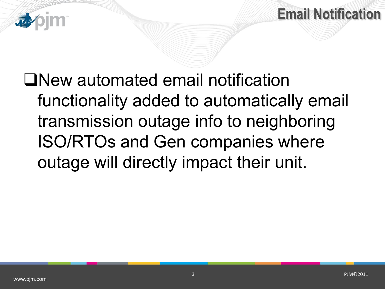



New automated email notification functionality added to automatically email transmission outage info to neighboring ISO/RTOs and Gen companies where outage will directly impact their unit.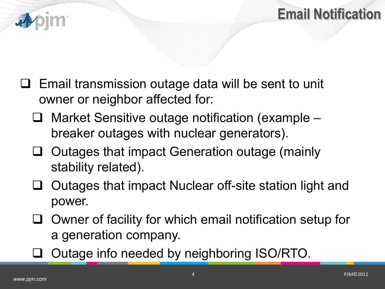

- $\Box$  Email transmission outage data will be sent to unit owner or neighbor affected for:
	- Market Sensitive outage notification (example breaker outages with nuclear generators).
	- Outages that impact Generation outage (mainly stability related).
	- Outages that impact Nuclear off-site station light and power.
	- Owner of facility for which email notification setup for a generation company.
	- Outage info needed by neighboring ISO/RTO.

**Email Notification**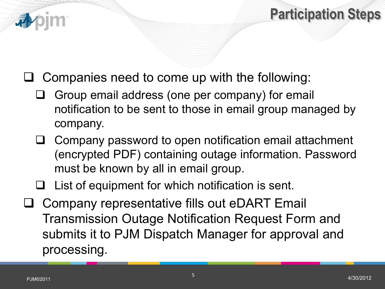

### **Participation Steps**

- Companies need to come up with the following:
	- $\Box$  Group email address (one per company) for email notification to be sent to those in email group managed by company.
	- $\Box$  Company password to open notification email attachment (encrypted PDF) containing outage information. Password must be known by all in email group.
	- $\Box$  List of equipment for which notification is sent.
- Company representative fills out eDART Email Transmission Outage Notification Request Form and submits it to PJM Dispatch Manager for approval and processing.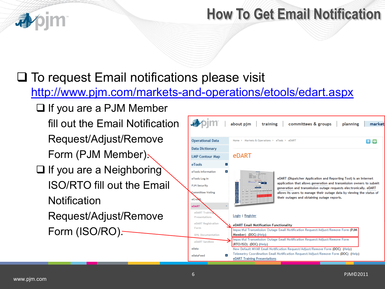

#### **How To Get Email Notification**

#### $\square$  To request Email notifications please visit

<http://www.pjm.com/markets-and-operations/etools/edart.aspx>

 $\Box$  If you are a PJM Member fill out the Email Notification Request/Adjust/Remove Form (PJM Member).

- $\Box$  If you are a Neighboring ISO/RTO fill out the Email **Notification** 
	- Request/Adjust/Remove Form (ISO/RO).

|                          | about pjm training committees & groups<br>market<br>planning                                                         |  |  |  |  |  |  |
|--------------------------|----------------------------------------------------------------------------------------------------------------------|--|--|--|--|--|--|
| <b>Operational Data</b>  | Home > Markets & Operations > eTools > eDART<br>H S                                                                  |  |  |  |  |  |  |
| <b>Data Dictionary</b>   |                                                                                                                      |  |  |  |  |  |  |
| <b>LMP Contour Map</b>   | eDART                                                                                                                |  |  |  |  |  |  |
| eTools                   | $\equiv$                                                                                                             |  |  |  |  |  |  |
| eTools Information       | $+$                                                                                                                  |  |  |  |  |  |  |
| eTools Log In            | eDART (Dispatcher Application and Reporting Tool) is an Internet                                                     |  |  |  |  |  |  |
| <b>PJM Security</b>      | application that allows generation and transmission owners to submit                                                 |  |  |  |  |  |  |
|                          | generation and transmission outage requests electronically. eDART                                                    |  |  |  |  |  |  |
| <b>Committee Voting</b>  | allows its users to manage their outage data by viewing the status of<br>their outages and obtaining outage reports. |  |  |  |  |  |  |
| eCredit                  |                                                                                                                      |  |  |  |  |  |  |
| eDART                    |                                                                                                                      |  |  |  |  |  |  |
| eDART Trainin            |                                                                                                                      |  |  |  |  |  |  |
| Presentations            | Login   Register                                                                                                     |  |  |  |  |  |  |
| eDART Registration       | eDART Email Notification Functionality                                                                               |  |  |  |  |  |  |
| Form                     | Impactful Transmission Outage Email Notification Request/Adjust/Remove Form (PJM                                     |  |  |  |  |  |  |
| <b>XML</b> Documentation | Member) (DOC) (Help)                                                                                                 |  |  |  |  |  |  |
| eDART Sandbox            | Impactful Transmission Outage Email Notification Request/Adjust/Remove Form                                          |  |  |  |  |  |  |
| eData                    | (RTO/ISO) (DOC) (Help)<br>New Default MVAR Email Notification Request/Adjust/Remove Form (DOC) (Help)                |  |  |  |  |  |  |
|                          | Telemetry Coordination Email Notification Request/Adjust/Remove Form (DOC) (Help)                                    |  |  |  |  |  |  |
| $+$<br>eDataFeed         | eDART Training Presentations                                                                                         |  |  |  |  |  |  |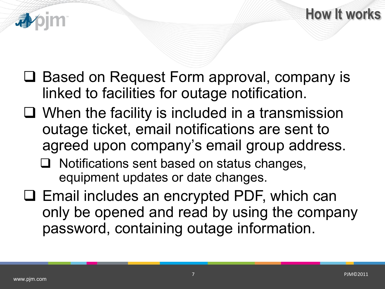



- □ Based on Request Form approval, company is linked to facilities for outage notification.
- $\Box$  When the facility is included in a transmission outage ticket, email notifications are sent to agreed upon company's email group address.
	- $\Box$  Notifications sent based on status changes, equipment updates or date changes.
- $\Box$  Email includes an encrypted PDF, which can only be opened and read by using the company password, containing outage information.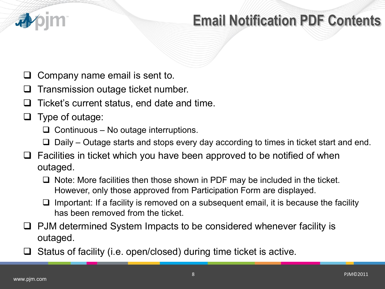

#### **Email Notification Contents Email Notification PDF Contents**

- Company name email is sent to.
- Transmission outage ticket number.
- $\Box$  Ticket's current status, end date and time.
- Type of outage:
	- $\Box$  Continuous No outage interruptions.
	- $\Box$  Daily Outage starts and stops every day according to times in ticket start and end.
- $\Box$  Facilities in ticket which you have been approved to be notified of when outaged.
	- $\Box$  Note: More facilities then those shown in PDF may be included in the ticket. However, only those approved from Participation Form are displayed.
	- $\Box$  Important: If a facility is removed on a subsequent email, it is because the facility has been removed from the ticket.
- $\Box$  PJM determined System Impacts to be considered whenever facility is outaged.
- $\Box$  Status of facility (i.e. open/closed) during time ticket is active.